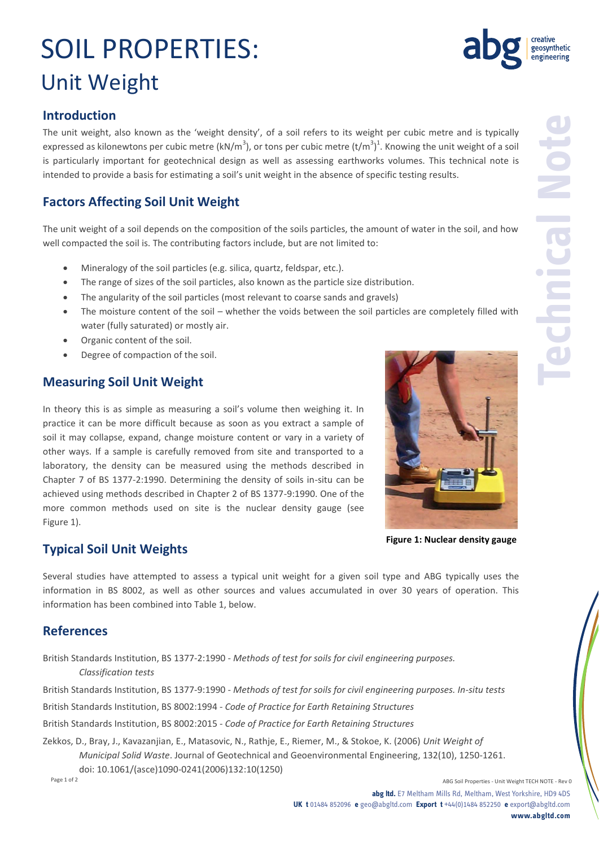# SOIL PROPERTIES: Unit Weight

The unit weight, also known as the 'weight density', of a soil refers to its weight per cubic metre and is typically expressed as kilonewtons per cubic metre (kN/m<sup>3</sup>), or tons per cubic metre (t/m<sup>3</sup>)<sup>1</sup>. Knowing the unit weight of a soil is particularly important for geotechnical design as well as assessing earthworks volumes. This technical note is intended to provide a basis for estimating a soil's unit weight in the absence of specific testing results.

### **Factors Affecting Soil Unit Weight**

The unit weight of a soil depends on the composition of the soils particles, the amount of water in the soil, and how well compacted the soil is. The contributing factors include, but are not limited to:

- Mineralogy of the soil particles (e.g. silica, quartz, feldspar, etc.).
- The range of sizes of the soil particles, also known as the particle size distribution.
- The angularity of the soil particles (most relevant to coarse sands and gravels)
- The moisture content of the soil whether the voids between the soil particles are completely filled with water (fully saturated) or mostly air.
- Organic content of the soil.
- Degree of compaction of the soil.

### **Measuring Soil Unit Weight**

In theory this is as simple as measuring a soil's volume then weighing it. In practice it can be more difficult because as soon as you extract a sample of soil it may collapse, expand, change moisture content or vary in a variety of other ways. If a sample is carefully removed from site and transported to a laboratory, the density can be measured using the methods described in Chapter 7 of BS 1377-2:1990. Determining the density of soils in-situ can be achieved using methods described in Chapter 2 of BS 1377-9:1990. One of the more common methods used on site is the nuclear density gauge (see Figure 1).





**Figure 1: Nuclear density gauge**

Several studies have attempted to assess a typical unit weight for a given soil type and ABG typically uses the information in BS 8002, as well as other sources and values accumulated in over 30 years of operation. This information has been combined into Table 1, below.

#### **References**

British Standards Institution, BS 1377-2:1990 - *Methods of test for soils for civil engineering purposes. Classification tests*

British Standards Institution, BS 1377-9:1990 - *Methods of test for soils for civil engineering purposes. In-situ tests*

British Standards Institution, BS 8002:1994 - *Code of Practice for Earth Retaining Structures*

British Standards Institution, BS 8002:2015 - *Code of Practice for Earth Retaining Structures*

Page 1 of 2 ABG Soil Properties - Unit Weight TECH NOTE - Rev 0 Zekkos, D., Bray, J., Kavazanjian, E., Matasovic, N., Rathje, E., Riemer, M., & Stokoe, K. (2006) *Unit Weight of Municipal Solid Waste*. Journal of Geotechnical and Geoenvironmental Engineering, 132(10), 1250-1261. doi: 10.1061/(asce)1090-0241(2006)132:10(1250)



**Technical Note**